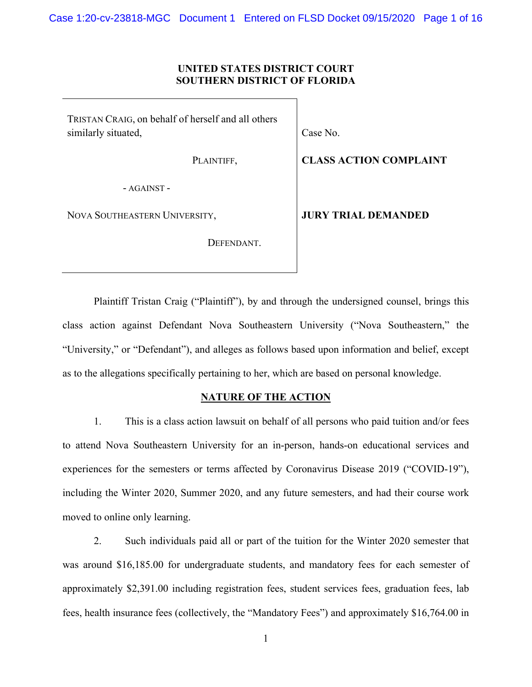### **UNITED STATES DISTRICT COURT SOUTHERN DISTRICT OF FLORIDA**

TRISTAN CRAIG, on behalf of herself and all others similarly situated,

PLAINTIFF,

Case No.

**CLASS ACTION COMPLAINT**

- AGAINST -

NOVA SOUTHEASTERN UNIVERSITY,

DEFENDANT.

**JURY TRIAL DEMANDED**

Plaintiff Tristan Craig ("Plaintiff"), by and through the undersigned counsel, brings this class action against Defendant Nova Southeastern University ("Nova Southeastern," the "University," or "Defendant"), and alleges as follows based upon information and belief, except as to the allegations specifically pertaining to her, which are based on personal knowledge.

### **NATURE OF THE ACTION**

1. This is a class action lawsuit on behalf of all persons who paid tuition and/or fees to attend Nova Southeastern University for an in-person, hands-on educational services and experiences for the semesters or terms affected by Coronavirus Disease 2019 ("COVID-19"), including the Winter 2020, Summer 2020, and any future semesters, and had their course work moved to online only learning.

2. Such individuals paid all or part of the tuition for the Winter 2020 semester that was around \$16,185.00 for undergraduate students, and mandatory fees for each semester of approximately \$2,391.00 including registration fees, student services fees, graduation fees, lab fees, health insurance fees (collectively, the "Mandatory Fees") and approximately \$16,764.00 in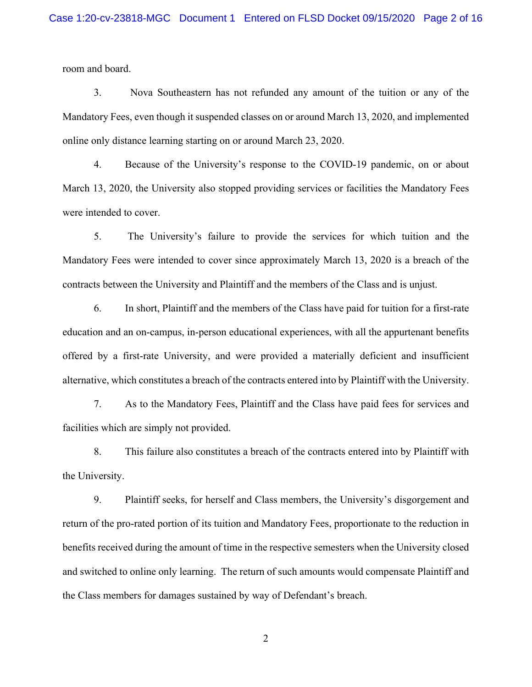room and board.

3. Nova Southeastern has not refunded any amount of the tuition or any of the Mandatory Fees, even though it suspended classes on or around March 13, 2020, and implemented online only distance learning starting on or around March 23, 2020.

4. Because of the University's response to the COVID-19 pandemic, on or about March 13, 2020, the University also stopped providing services or facilities the Mandatory Fees were intended to cover.

5. The University's failure to provide the services for which tuition and the Mandatory Fees were intended to cover since approximately March 13, 2020 is a breach of the contracts between the University and Plaintiff and the members of the Class and is unjust.

6. In short, Plaintiff and the members of the Class have paid for tuition for a first-rate education and an on-campus, in-person educational experiences, with all the appurtenant benefits offered by a first-rate University, and were provided a materially deficient and insufficient alternative, which constitutes a breach of the contracts entered into by Plaintiff with the University.

7. As to the Mandatory Fees, Plaintiff and the Class have paid fees for services and facilities which are simply not provided.

8. This failure also constitutes a breach of the contracts entered into by Plaintiff with the University.

9. Plaintiff seeks, for herself and Class members, the University's disgorgement and return of the pro-rated portion of its tuition and Mandatory Fees, proportionate to the reduction in benefits received during the amount of time in the respective semesters when the University closed and switched to online only learning. The return of such amounts would compensate Plaintiff and the Class members for damages sustained by way of Defendant's breach.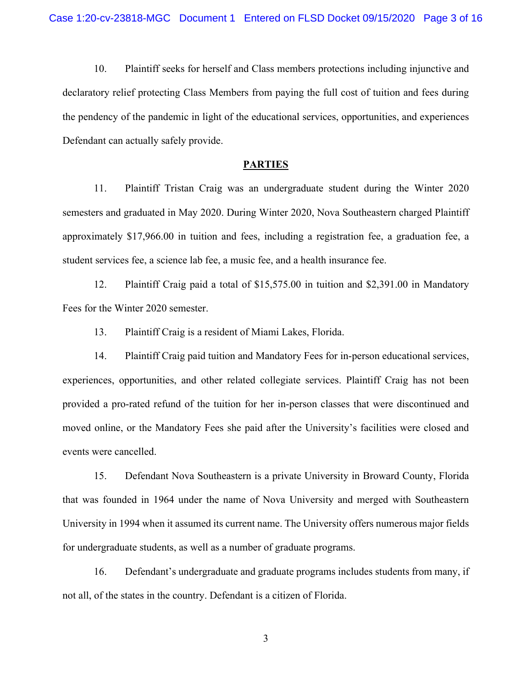10. Plaintiff seeks for herself and Class members protections including injunctive and declaratory relief protecting Class Members from paying the full cost of tuition and fees during the pendency of the pandemic in light of the educational services, opportunities, and experiences Defendant can actually safely provide.

#### **PARTIES**

11. Plaintiff Tristan Craig was an undergraduate student during the Winter 2020 semesters and graduated in May 2020. During Winter 2020, Nova Southeastern charged Plaintiff approximately \$17,966.00 in tuition and fees, including a registration fee, a graduation fee, a student services fee, a science lab fee, a music fee, and a health insurance fee.

12. Plaintiff Craig paid a total of \$15,575.00 in tuition and \$2,391.00 in Mandatory Fees for the Winter 2020 semester.

13. Plaintiff Craig is a resident of Miami Lakes, Florida.

14. Plaintiff Craig paid tuition and Mandatory Fees for in-person educational services, experiences, opportunities, and other related collegiate services. Plaintiff Craig has not been provided a pro-rated refund of the tuition for her in-person classes that were discontinued and moved online, or the Mandatory Fees she paid after the University's facilities were closed and events were cancelled.

15. Defendant Nova Southeastern is a private University in Broward County, Florida that was founded in 1964 under the name of Nova University and merged with Southeastern University in 1994 when it assumed its current name. The University offers numerous major fields for undergraduate students, as well as a number of graduate programs.

16. Defendant's undergraduate and graduate programs includes students from many, if not all, of the states in the country. Defendant is a citizen of Florida.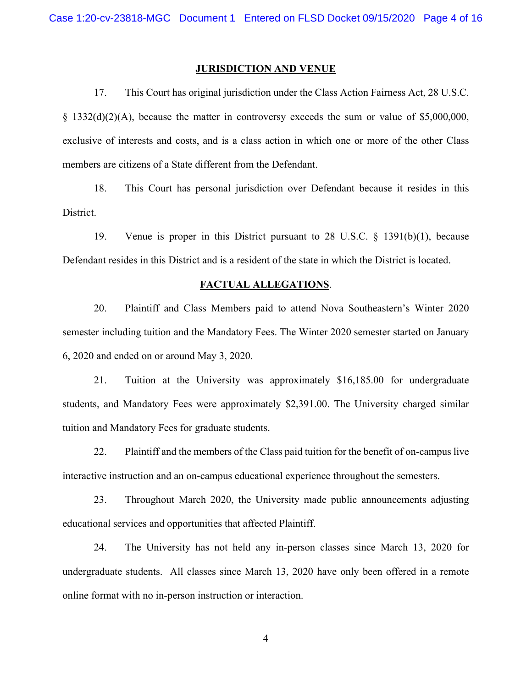#### **JURISDICTION AND VENUE**

17. This Court has original jurisdiction under the Class Action Fairness Act, 28 U.S.C. § 1332(d)(2)(A), because the matter in controversy exceeds the sum or value of \$5,000,000, exclusive of interests and costs, and is a class action in which one or more of the other Class members are citizens of a State different from the Defendant.

18. This Court has personal jurisdiction over Defendant because it resides in this District.

19. Venue is proper in this District pursuant to 28 U.S.C. § 1391(b)(1), because Defendant resides in this District and is a resident of the state in which the District is located.

#### **FACTUAL ALLEGATIONS**.

20. Plaintiff and Class Members paid to attend Nova Southeastern's Winter 2020 semester including tuition and the Mandatory Fees. The Winter 2020 semester started on January 6, 2020 and ended on or around May 3, 2020.

21. Tuition at the University was approximately \$16,185.00 for undergraduate students, and Mandatory Fees were approximately \$2,391.00. The University charged similar tuition and Mandatory Fees for graduate students.

22. Plaintiff and the members of the Class paid tuition for the benefit of on-campus live interactive instruction and an on-campus educational experience throughout the semesters.

23. Throughout March 2020, the University made public announcements adjusting educational services and opportunities that affected Plaintiff.

24. The University has not held any in-person classes since March 13, 2020 for undergraduate students. All classes since March 13, 2020 have only been offered in a remote online format with no in-person instruction or interaction.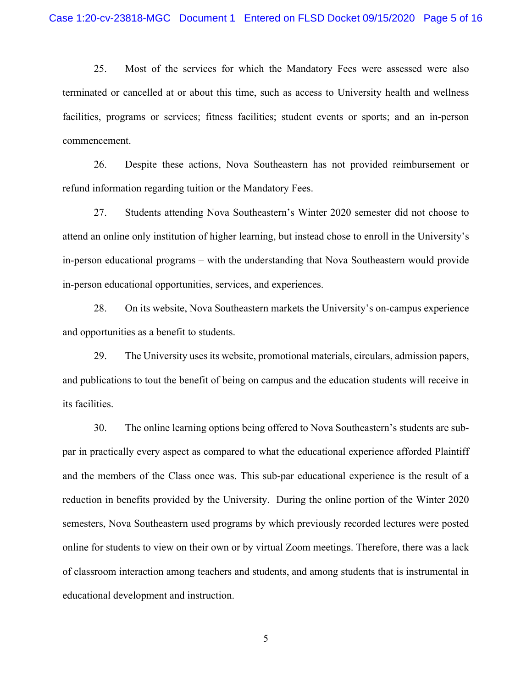25. Most of the services for which the Mandatory Fees were assessed were also terminated or cancelled at or about this time, such as access to University health and wellness facilities, programs or services; fitness facilities; student events or sports; and an in-person commencement.

26. Despite these actions, Nova Southeastern has not provided reimbursement or refund information regarding tuition or the Mandatory Fees.

27. Students attending Nova Southeastern's Winter 2020 semester did not choose to attend an online only institution of higher learning, but instead chose to enroll in the University's in-person educational programs – with the understanding that Nova Southeastern would provide in-person educational opportunities, services, and experiences.

28. On its website, Nova Southeastern markets the University's on-campus experience and opportunities as a benefit to students.

29. The University uses its website, promotional materials, circulars, admission papers, and publications to tout the benefit of being on campus and the education students will receive in its facilities.

30. The online learning options being offered to Nova Southeastern's students are subpar in practically every aspect as compared to what the educational experience afforded Plaintiff and the members of the Class once was. This sub-par educational experience is the result of a reduction in benefits provided by the University. During the online portion of the Winter 2020 semesters, Nova Southeastern used programs by which previously recorded lectures were posted online for students to view on their own or by virtual Zoom meetings. Therefore, there was a lack of classroom interaction among teachers and students, and among students that is instrumental in educational development and instruction.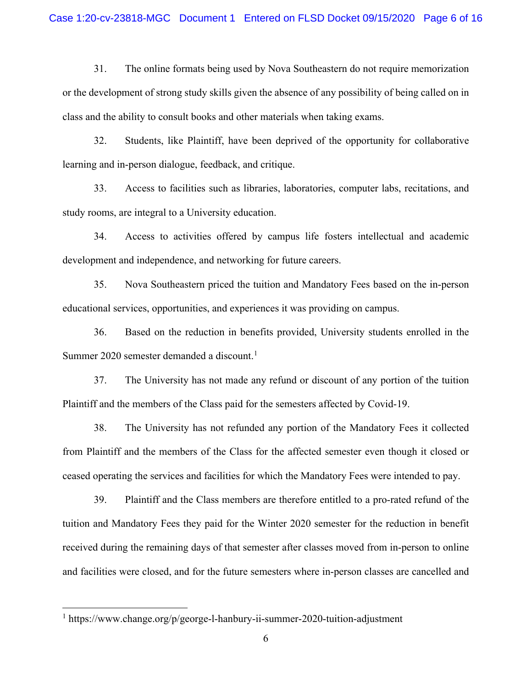31. The online formats being used by Nova Southeastern do not require memorization or the development of strong study skills given the absence of any possibility of being called on in class and the ability to consult books and other materials when taking exams.

32. Students, like Plaintiff, have been deprived of the opportunity for collaborative learning and in-person dialogue, feedback, and critique.

33. Access to facilities such as libraries, laboratories, computer labs, recitations, and study rooms, are integral to a University education.

34. Access to activities offered by campus life fosters intellectual and academic development and independence, and networking for future careers.

35. Nova Southeastern priced the tuition and Mandatory Fees based on the in-person educational services, opportunities, and experiences it was providing on campus.

36. Based on the reduction in benefits provided, University students enrolled in the Summer 2020 semester demanded a discount.<sup>[1](#page-5-0)</sup>

37. The University has not made any refund or discount of any portion of the tuition Plaintiff and the members of the Class paid for the semesters affected by Covid-19.

38. The University has not refunded any portion of the Mandatory Fees it collected from Plaintiff and the members of the Class for the affected semester even though it closed or ceased operating the services and facilities for which the Mandatory Fees were intended to pay.

39. Plaintiff and the Class members are therefore entitled to a pro-rated refund of the tuition and Mandatory Fees they paid for the Winter 2020 semester for the reduction in benefit received during the remaining days of that semester after classes moved from in-person to online and facilities were closed, and for the future semesters where in-person classes are cancelled and

<span id="page-5-0"></span><sup>&</sup>lt;sup>1</sup> https://www.change.org/p/george-l-hanbury-ii-summer-2020-tuition-adjustment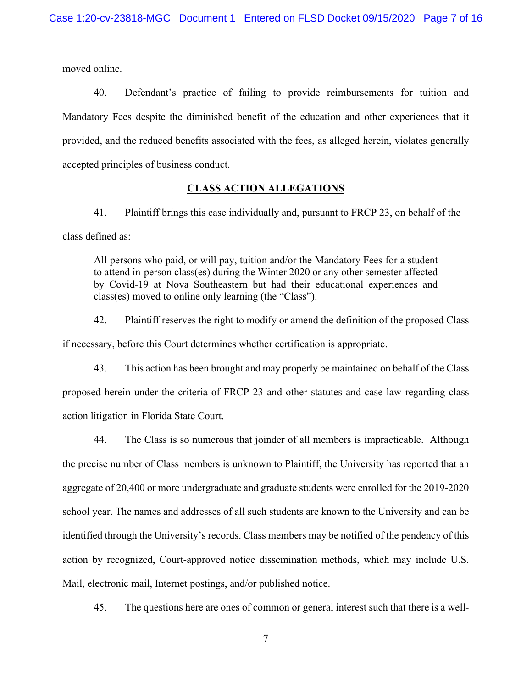moved online.

40. Defendant's practice of failing to provide reimbursements for tuition and Mandatory Fees despite the diminished benefit of the education and other experiences that it provided, and the reduced benefits associated with the fees, as alleged herein, violates generally accepted principles of business conduct.

# **CLASS ACTION ALLEGATIONS**

41. Plaintiff brings this case individually and, pursuant to FRCP 23, on behalf of the class defined as:

All persons who paid, or will pay, tuition and/or the Mandatory Fees for a student to attend in-person class(es) during the Winter 2020 or any other semester affected by Covid-19 at Nova Southeastern but had their educational experiences and class(es) moved to online only learning (the "Class").

42. Plaintiff reserves the right to modify or amend the definition of the proposed Class if necessary, before this Court determines whether certification is appropriate.

43. This action has been brought and may properly be maintained on behalf of the Class proposed herein under the criteria of FRCP 23 and other statutes and case law regarding class action litigation in Florida State Court.

44. The Class is so numerous that joinder of all members is impracticable. Although the precise number of Class members is unknown to Plaintiff, the University has reported that an aggregate of 20,400 or more undergraduate and graduate students were enrolled for the 2019-2020 school year. The names and addresses of all such students are known to the University and can be identified through the University's records. Class members may be notified of the pendency of this action by recognized, Court-approved notice dissemination methods, which may include U.S. Mail, electronic mail, Internet postings, and/or published notice.

45. The questions here are ones of common or general interest such that there is a well-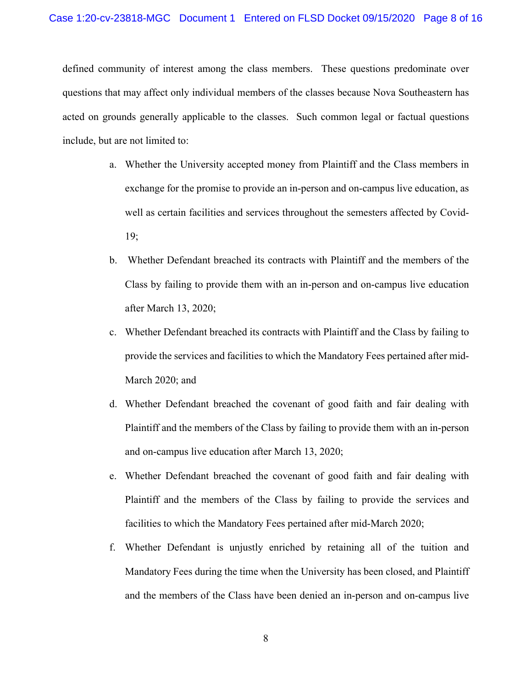defined community of interest among the class members. These questions predominate over questions that may affect only individual members of the classes because Nova Southeastern has acted on grounds generally applicable to the classes. Such common legal or factual questions include, but are not limited to:

- a. Whether the University accepted money from Plaintiff and the Class members in exchange for the promise to provide an in-person and on-campus live education, as well as certain facilities and services throughout the semesters affected by Covid-19;
- b. Whether Defendant breached its contracts with Plaintiff and the members of the Class by failing to provide them with an in-person and on-campus live education after March 13, 2020;
- c. Whether Defendant breached its contracts with Plaintiff and the Class by failing to provide the services and facilities to which the Mandatory Fees pertained after mid-March 2020; and
- d. Whether Defendant breached the covenant of good faith and fair dealing with Plaintiff and the members of the Class by failing to provide them with an in-person and on-campus live education after March 13, 2020;
- e. Whether Defendant breached the covenant of good faith and fair dealing with Plaintiff and the members of the Class by failing to provide the services and facilities to which the Mandatory Fees pertained after mid-March 2020;
- f. Whether Defendant is unjustly enriched by retaining all of the tuition and Mandatory Fees during the time when the University has been closed, and Plaintiff and the members of the Class have been denied an in-person and on-campus live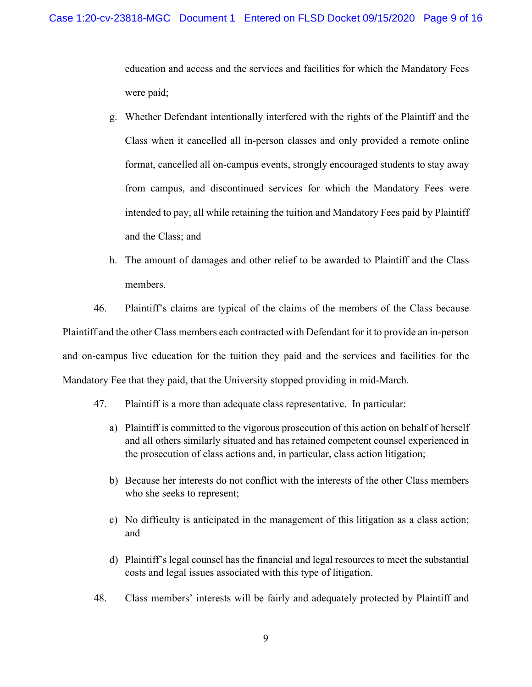education and access and the services and facilities for which the Mandatory Fees were paid;

- g. Whether Defendant intentionally interfered with the rights of the Plaintiff and the Class when it cancelled all in-person classes and only provided a remote online format, cancelled all on-campus events, strongly encouraged students to stay away from campus, and discontinued services for which the Mandatory Fees were intended to pay, all while retaining the tuition and Mandatory Fees paid by Plaintiff and the Class; and
- h. The amount of damages and other relief to be awarded to Plaintiff and the Class members.

46. Plaintiff's claims are typical of the claims of the members of the Class because Plaintiff and the other Class members each contracted with Defendant for it to provide an in-person and on-campus live education for the tuition they paid and the services and facilities for the Mandatory Fee that they paid, that the University stopped providing in mid-March.

- 47. Plaintiff is a more than adequate class representative. In particular:
	- a) Plaintiff is committed to the vigorous prosecution of this action on behalf of herself and all others similarly situated and has retained competent counsel experienced in the prosecution of class actions and, in particular, class action litigation;
	- b) Because her interests do not conflict with the interests of the other Class members who she seeks to represent;
	- c) No difficulty is anticipated in the management of this litigation as a class action; and
	- d) Plaintiff's legal counsel has the financial and legal resources to meet the substantial costs and legal issues associated with this type of litigation.
- 48. Class members' interests will be fairly and adequately protected by Plaintiff and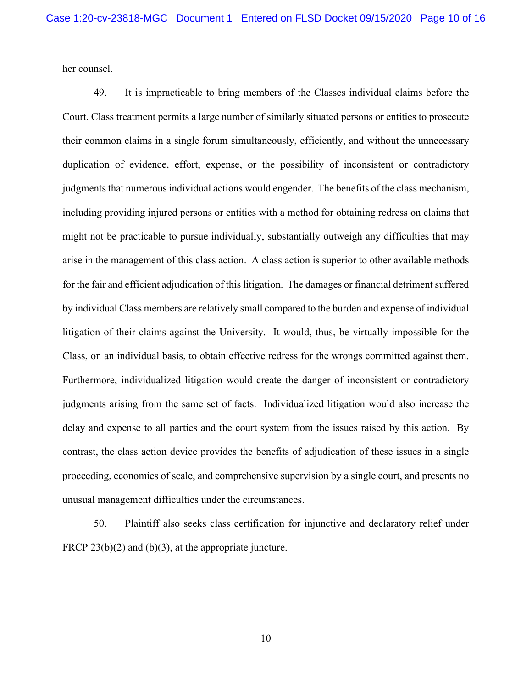her counsel.

49. It is impracticable to bring members of the Classes individual claims before the Court. Class treatment permits a large number of similarly situated persons or entities to prosecute their common claims in a single forum simultaneously, efficiently, and without the unnecessary duplication of evidence, effort, expense, or the possibility of inconsistent or contradictory judgments that numerous individual actions would engender. The benefits of the class mechanism, including providing injured persons or entities with a method for obtaining redress on claims that might not be practicable to pursue individually, substantially outweigh any difficulties that may arise in the management of this class action. A class action is superior to other available methods for the fair and efficient adjudication of this litigation. The damages or financial detriment suffered by individual Class members are relatively small compared to the burden and expense of individual litigation of their claims against the University. It would, thus, be virtually impossible for the Class, on an individual basis, to obtain effective redress for the wrongs committed against them. Furthermore, individualized litigation would create the danger of inconsistent or contradictory judgments arising from the same set of facts. Individualized litigation would also increase the delay and expense to all parties and the court system from the issues raised by this action. By contrast, the class action device provides the benefits of adjudication of these issues in a single proceeding, economies of scale, and comprehensive supervision by a single court, and presents no unusual management difficulties under the circumstances.

50. Plaintiff also seeks class certification for injunctive and declaratory relief under FRCP  $23(b)(2)$  and  $(b)(3)$ , at the appropriate juncture.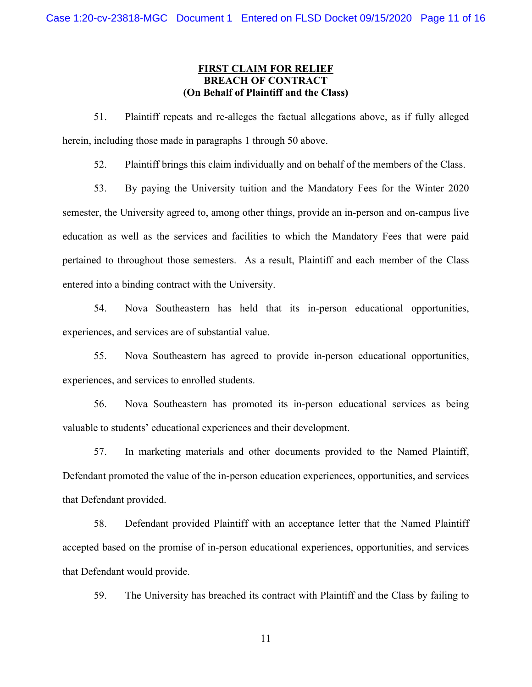# **FIRST CLAIM FOR RELIEF BREACH OF CONTRACT (On Behalf of Plaintiff and the Class)**

51. Plaintiff repeats and re-alleges the factual allegations above, as if fully alleged herein, including those made in paragraphs 1 through 50 above.

52. Plaintiff brings this claim individually and on behalf of the members of the Class.

53. By paying the University tuition and the Mandatory Fees for the Winter 2020 semester, the University agreed to, among other things, provide an in-person and on-campus live education as well as the services and facilities to which the Mandatory Fees that were paid pertained to throughout those semesters. As a result, Plaintiff and each member of the Class entered into a binding contract with the University.

54. Nova Southeastern has held that its in-person educational opportunities, experiences, and services are of substantial value.

55. Nova Southeastern has agreed to provide in-person educational opportunities, experiences, and services to enrolled students.

56. Nova Southeastern has promoted its in-person educational services as being valuable to students' educational experiences and their development.

57. In marketing materials and other documents provided to the Named Plaintiff, Defendant promoted the value of the in-person education experiences, opportunities, and services that Defendant provided.

58. Defendant provided Plaintiff with an acceptance letter that the Named Plaintiff accepted based on the promise of in-person educational experiences, opportunities, and services that Defendant would provide.

59. The University has breached its contract with Plaintiff and the Class by failing to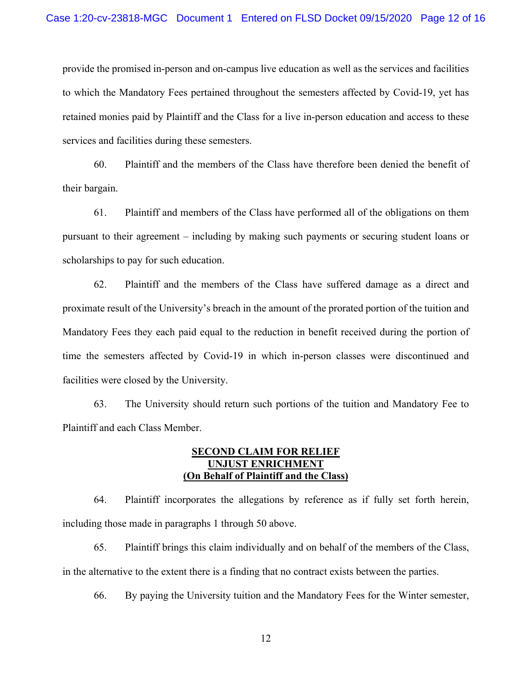provide the promised in-person and on-campus live education as well as the services and facilities to which the Mandatory Fees pertained throughout the semesters affected by Covid-19, yet has retained monies paid by Plaintiff and the Class for a live in-person education and access to these services and facilities during these semesters.

60. Plaintiff and the members of the Class have therefore been denied the benefit of their bargain.

61. Plaintiff and members of the Class have performed all of the obligations on them pursuant to their agreement – including by making such payments or securing student loans or scholarships to pay for such education.

62. Plaintiff and the members of the Class have suffered damage as a direct and proximate result of the University's breach in the amount of the prorated portion of the tuition and Mandatory Fees they each paid equal to the reduction in benefit received during the portion of time the semesters affected by Covid-19 in which in-person classes were discontinued and facilities were closed by the University.

63. The University should return such portions of the tuition and Mandatory Fee to Plaintiff and each Class Member.

### **SECOND CLAIM FOR RELIEF UNJUST ENRICHMENT (On Behalf of Plaintiff and the Class)**

64. Plaintiff incorporates the allegations by reference as if fully set forth herein, including those made in paragraphs 1 through 50 above.

65. Plaintiff brings this claim individually and on behalf of the members of the Class, in the alternative to the extent there is a finding that no contract exists between the parties.

66. By paying the University tuition and the Mandatory Fees for the Winter semester,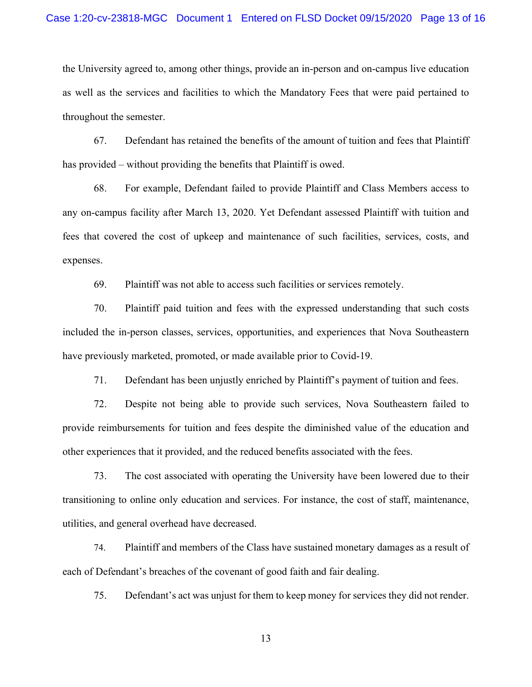the University agreed to, among other things, provide an in-person and on-campus live education as well as the services and facilities to which the Mandatory Fees that were paid pertained to throughout the semester.

67. Defendant has retained the benefits of the amount of tuition and fees that Plaintiff has provided – without providing the benefits that Plaintiff is owed.

68. For example, Defendant failed to provide Plaintiff and Class Members access to any on-campus facility after March 13, 2020. Yet Defendant assessed Plaintiff with tuition and fees that covered the cost of upkeep and maintenance of such facilities, services, costs, and expenses.

69. Plaintiff was not able to access such facilities or services remotely.

70. Plaintiff paid tuition and fees with the expressed understanding that such costs included the in-person classes, services, opportunities, and experiences that Nova Southeastern have previously marketed, promoted, or made available prior to Covid-19.

71. Defendant has been unjustly enriched by Plaintiff's payment of tuition and fees.

72. Despite not being able to provide such services, Nova Southeastern failed to provide reimbursements for tuition and fees despite the diminished value of the education and other experiences that it provided, and the reduced benefits associated with the fees.

73. The cost associated with operating the University have been lowered due to their transitioning to online only education and services. For instance, the cost of staff, maintenance, utilities, and general overhead have decreased.

74. Plaintiff and members of the Class have sustained monetary damages as a result of each of Defendant's breaches of the covenant of good faith and fair dealing.

75. Defendant's act was unjust for them to keep money for services they did not render.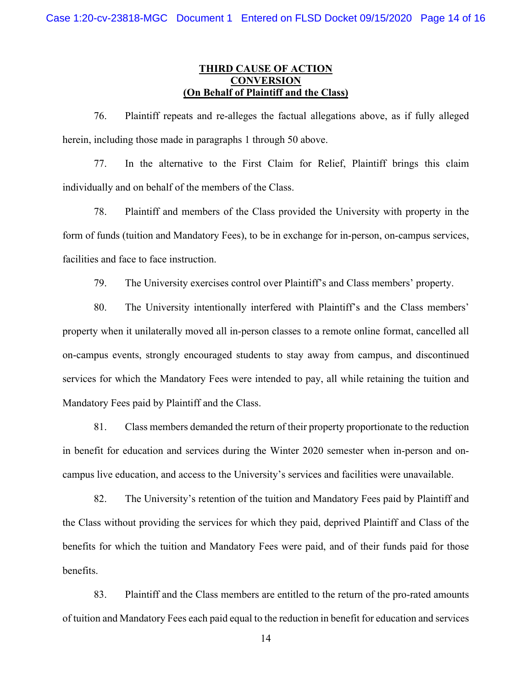# **THIRD CAUSE OF ACTION CONVERSION (On Behalf of Plaintiff and the Class)**

76. Plaintiff repeats and re-alleges the factual allegations above, as if fully alleged herein, including those made in paragraphs 1 through 50 above.

77. In the alternative to the First Claim for Relief, Plaintiff brings this claim individually and on behalf of the members of the Class.

78. Plaintiff and members of the Class provided the University with property in the form of funds (tuition and Mandatory Fees), to be in exchange for in-person, on-campus services, facilities and face to face instruction.

79. The University exercises control over Plaintiff's and Class members' property.

80. The University intentionally interfered with Plaintiff's and the Class members' property when it unilaterally moved all in-person classes to a remote online format, cancelled all on-campus events, strongly encouraged students to stay away from campus, and discontinued services for which the Mandatory Fees were intended to pay, all while retaining the tuition and Mandatory Fees paid by Plaintiff and the Class.

81. Class members demanded the return of their property proportionate to the reduction in benefit for education and services during the Winter 2020 semester when in-person and oncampus live education, and access to the University's services and facilities were unavailable.

82. The University's retention of the tuition and Mandatory Fees paid by Plaintiff and the Class without providing the services for which they paid, deprived Plaintiff and Class of the benefits for which the tuition and Mandatory Fees were paid, and of their funds paid for those benefits.

83. Plaintiff and the Class members are entitled to the return of the pro-rated amounts of tuition and Mandatory Fees each paid equal to the reduction in benefit for education and services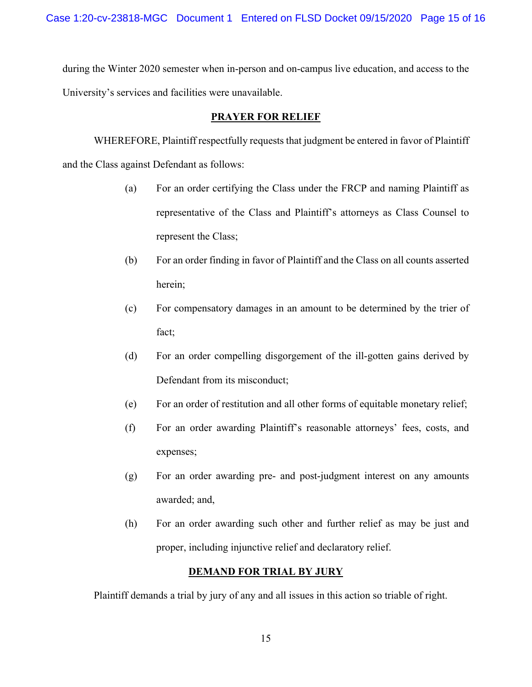during the Winter 2020 semester when in-person and on-campus live education, and access to the University's services and facilities were unavailable.

# **PRAYER FOR RELIEF**

WHEREFORE, Plaintiff respectfully requests that judgment be entered in favor of Plaintiff and the Class against Defendant as follows:

- (a) For an order certifying the Class under the FRCP and naming Plaintiff as representative of the Class and Plaintiff's attorneys as Class Counsel to represent the Class;
- (b) For an order finding in favor of Plaintiff and the Class on all counts asserted herein;
- (c) For compensatory damages in an amount to be determined by the trier of fact;
- (d) For an order compelling disgorgement of the ill-gotten gains derived by Defendant from its misconduct;
- (e) For an order of restitution and all other forms of equitable monetary relief;
- (f) For an order awarding Plaintiff's reasonable attorneys' fees, costs, and expenses;
- (g) For an order awarding pre- and post-judgment interest on any amounts awarded; and,
- (h) For an order awarding such other and further relief as may be just and proper, including injunctive relief and declaratory relief.

# **DEMAND FOR TRIAL BY JURY**

Plaintiff demands a trial by jury of any and all issues in this action so triable of right.